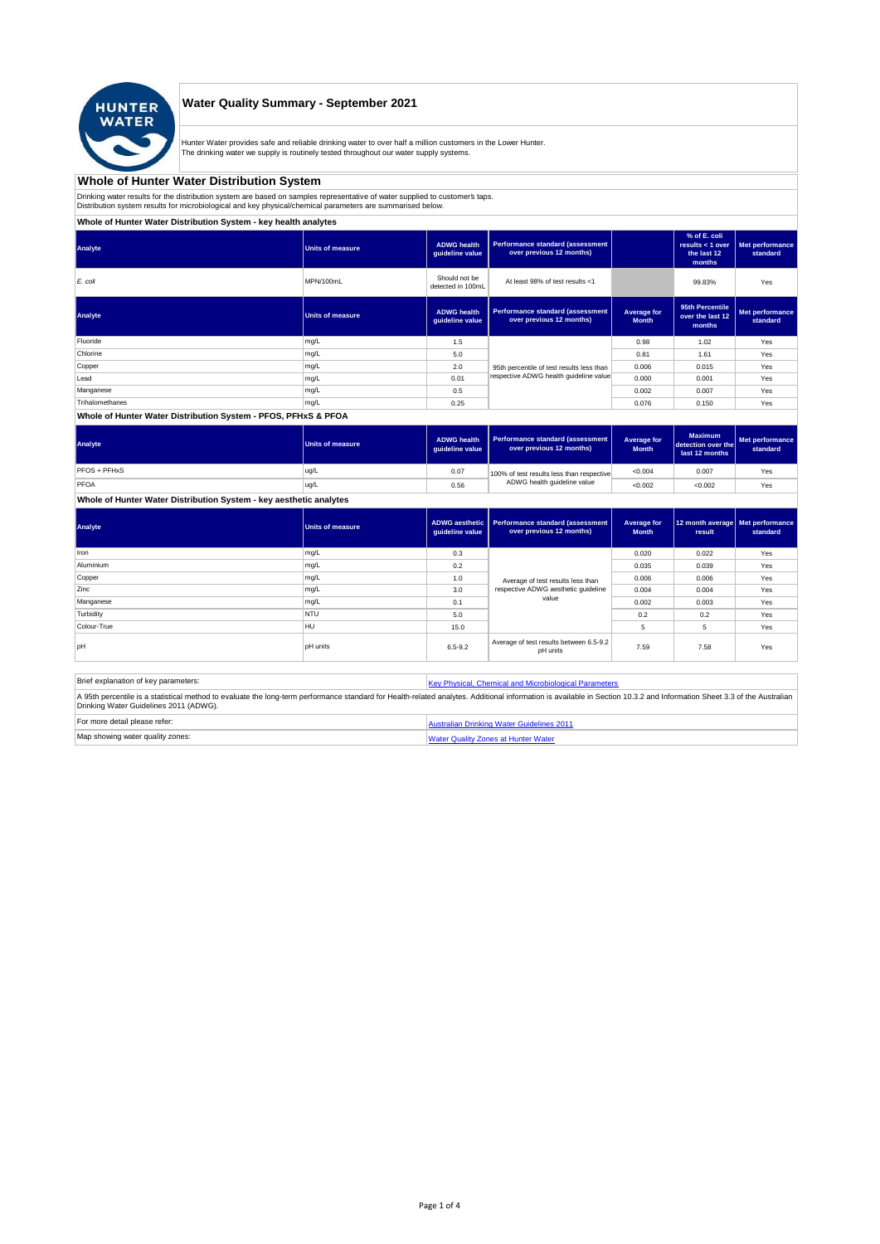

## **Water Quality Summary - September 2021**

Hunter Water provides safe and reliable drinking water to over half a million customers in the Lower Hunter. The drinking water we supply is routinely tested throughout our water supply systems.

# **Whole of Hunter Water Distribution System**

Drinking water results for the distribution system are based on samples representative of water supplied to customer' taps.<br>Distribution system results for microbiological and key physical/chemical parameters are summarise

**Whole of Hunter Water Distribution System - key health analytes**

| Analyte         | Units of measure | <b>ADWG</b> health<br>guideline value | Performance standard (assessment<br>over previous 12 months) |                             | % of E. coli<br>results $<$ 1 over<br>the last 12<br>months | Met performance<br>standard |
|-----------------|------------------|---------------------------------------|--------------------------------------------------------------|-----------------------------|-------------------------------------------------------------|-----------------------------|
| E. coli         | MPN/100mL        | Should not be<br>detected in 100mL    | At least 98% of test results <1                              |                             | 99.83%                                                      | Yes                         |
| Analyte         | Units of measure | <b>ADWG</b> health<br>guideline value | Performance standard (assessment<br>over previous 12 months) | Average for<br><b>Month</b> | 95th Percentile<br>over the last 12<br>months               | Met performance<br>standard |
| Fluoride        | mg/L             | 1.5                                   |                                                              | 0.98                        | 1.02                                                        | Yes                         |
| Chlorine        | mg/L             | 5.0                                   |                                                              | 0.81                        | 1.61                                                        | Yes                         |
| Copper          | mg/L             | 2.0                                   | 95th percentile of test results less than                    | 0.006                       | 0.015                                                       | Yes                         |
| Lead            | mg/L             | 0.01                                  | respective ADWG health guideline value                       | 0.000                       | 0.001                                                       | Yes                         |
| Manganese       | mg/L             | 0.5                                   |                                                              | 0.002                       | 0.007                                                       | Yes                         |
| Trihalomethanes | mg/L             | 0.25                                  |                                                              | 0.076                       | 0.150                                                       | Yes                         |
|                 |                  |                                       |                                                              |                             |                                                             |                             |

#### **Whole of Hunter Water Distribution System - PFOS, PFHxS & PFOA**

| Analyte      | <b>Units of measure</b> | <b>ADWG health</b><br>quideline value | Performance standard (assessment<br>over previous 12 months) | Average for<br><b>Month</b> | <b>Maximum</b><br>detection over the<br>last 12 months | Met performance<br>standard |
|--------------|-------------------------|---------------------------------------|--------------------------------------------------------------|-----------------------------|--------------------------------------------------------|-----------------------------|
| PFOS + PFHxS | ug/L                    | 0.07                                  | 100% of test results less than respective                    | < 0.004                     | 0.007                                                  | Yes                         |
| PFOA         | ug/L                    | 0.56                                  | ADWG health quideline value                                  | < 0.002                     | < 0.002                                                | Yes                         |

## **Whole of Hunter Water Distribution System - key aesthetic analytes**

| Analyte     | Units of measure | guideline value | ADWG aesthetic   Performance standard (assessment<br>over previous 12 months) | Average for<br><b>Month</b> | 12 month average   Met performance<br>result | standard |
|-------------|------------------|-----------------|-------------------------------------------------------------------------------|-----------------------------|----------------------------------------------|----------|
| Iron        | mg/L             | 0.3             |                                                                               | 0.020                       | 0.022                                        | Yes      |
| Aluminium   | mg/L             | 0.2             |                                                                               | 0.035                       | 0.039                                        | Yes      |
| Copper      | mg/L             | 1.0             | Average of test results less than                                             | 0.006                       | 0.006                                        | Yes      |
| Zinc        | mg/L             | 3.0             | respective ADWG aesthetic quideline                                           | 0.004                       | 0.004                                        | Yes      |
| Manganese   | mg/L             | 0.1             | value                                                                         | 0.002                       | 0.003                                        | Yes      |
| Turbidity   | <b>NTU</b>       | 5.0             |                                                                               | 0.2                         | 0.2                                          | Yes      |
| Colour-True | HU               | 15.0            |                                                                               | 5                           | 5                                            | Yes      |
| pH          | <b>pH</b> units  | $6.5 - 9.2$     | Average of test results between 6.5-9.2<br>pH units                           | 7.59                        | 7.58                                         | Yes      |

| Brief explanation of key parameters:   | Key Physical, Chemical and Microbiological Parameters                                                                                                                                                                   |
|----------------------------------------|-------------------------------------------------------------------------------------------------------------------------------------------------------------------------------------------------------------------------|
| Drinking Water Guidelines 2011 (ADWG). | A 95th percentile is a statistical method to evaluate the long-term performance standard for Health-related analytes. Additional information is available in Section 10.3.2 and Information Sheet 3.3 of the Australian |
| For more detail please refer:          | Australian Drinking Water Guidelines 2011                                                                                                                                                                               |
| Map showing water quality zones:       | <b>Water Quality Zones at Hunter Water</b>                                                                                                                                                                              |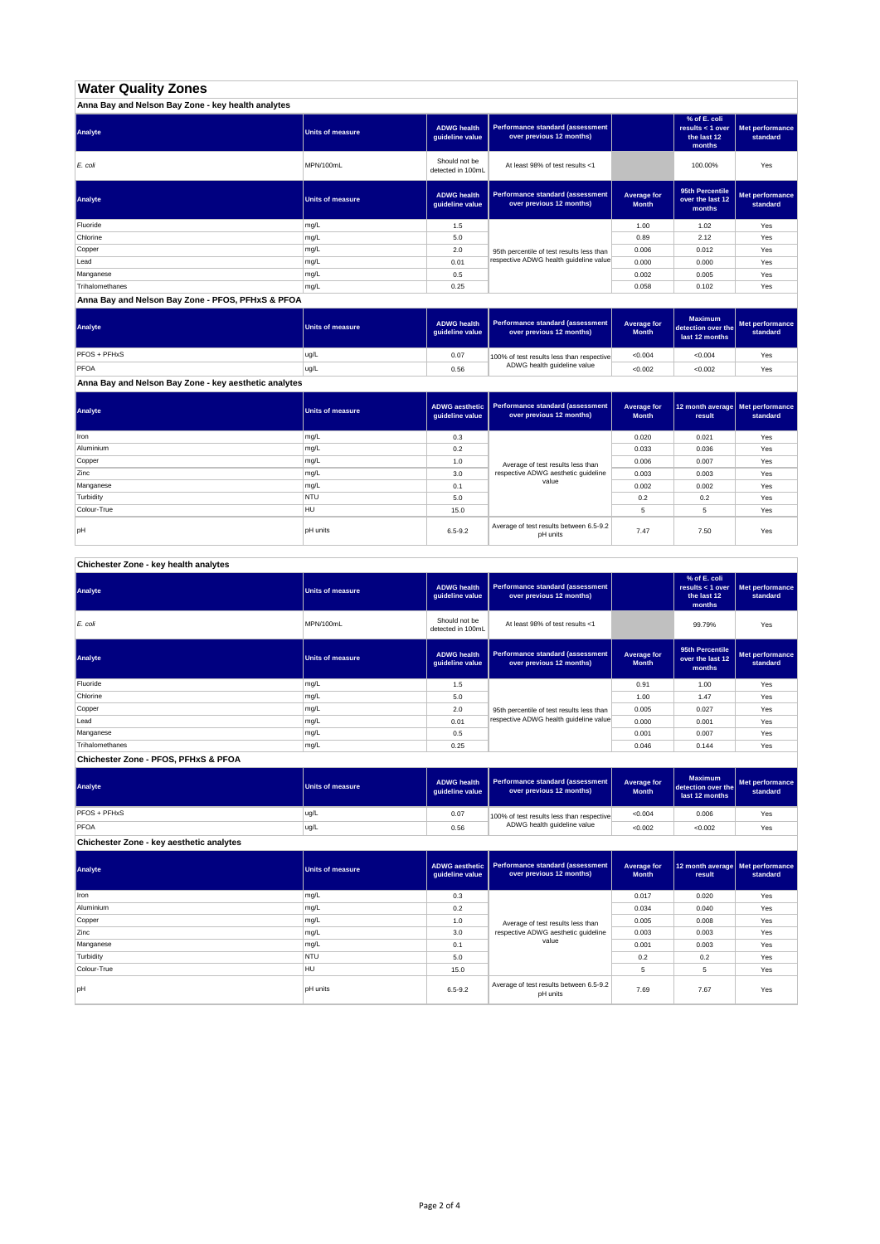## **Water Quality Zones**

| Anna Bay and Nelson Bay Zone - key health analytes |                  |                                       |                                                                     |                             |                                                           |                             |
|----------------------------------------------------|------------------|---------------------------------------|---------------------------------------------------------------------|-----------------------------|-----------------------------------------------------------|-----------------------------|
| Analyte                                            | Units of measure | <b>ADWG health</b><br>guideline value | <b>Performance standard (assessment</b><br>over previous 12 months) |                             | % of E. coli<br>results < 1 over<br>the last 12<br>months | Met performance<br>standard |
| E. coli                                            | MPN/100mL        | Should not be<br>detected in 100mL    | At least 98% of test results <1                                     |                             | 100.00%                                                   | Yes                         |
| Analyte                                            | Units of measure | <b>ADWG health</b><br>guideline value | <b>Performance standard (assessment</b><br>over previous 12 months) | Average for<br><b>Month</b> | 95th Percentile<br>over the last 12<br>months             | Met performance<br>standard |
| Fluoride                                           | mg/L             | 1.5                                   |                                                                     | 1.00                        | 1.02                                                      | Yes                         |
| Chlorine                                           | mg/L             | 5.0                                   |                                                                     | 0.89                        | 2.12                                                      | Yes                         |
| Copper                                             | mg/L             | 2.0                                   | 95th percentile of test results less than                           | 0.006                       | 0.012                                                     | Yes                         |
| Lead                                               | mg/L             | 0.01                                  | respective ADWG health guideline value                              | 0.000                       | 0.000                                                     | Yes                         |
| Manganese                                          | mg/L             | 0.5                                   |                                                                     | 0.002                       | 0.005                                                     | Yes                         |
| Trihalomethanes                                    | mg/L             | 0.25                                  |                                                                     | 0.058                       | 0.102                                                     | Yes                         |

**Anna Bay and Nelson Bay Zone - PFOS, PFHxS & PFOA**

| Analyte      | Units of measure | <b>ADWG health</b><br>quideline value | Performance standard (assessment<br>over previous 12 months) | <b>Average for</b><br><b>Month</b> | <b>Maximum</b><br>detection over the<br>last 12 months | Met performance<br>standard |
|--------------|------------------|---------------------------------------|--------------------------------------------------------------|------------------------------------|--------------------------------------------------------|-----------------------------|
| PFOS + PFHxS | ug/L             | 0.07                                  | 100% of test results less than respective                    | < 0.004                            | < 0.004                                                | Yes                         |
| PFOA         | ug/L             | 0.56                                  | ADWG health guideline value                                  | < 0.002                            | < 0.002                                                | Yes                         |

**Anna Bay and Nelson Bay Zone - key aesthetic analytes**

| Analyte     | Units of measure | ADWG aesthetic  <br>guideline value | Performance standard (assessment<br>over previous 12 months) | Average for<br><b>Month</b> | 12 month average   Met performance<br>result | standard |
|-------------|------------------|-------------------------------------|--------------------------------------------------------------|-----------------------------|----------------------------------------------|----------|
| Iron        | mg/L             | 0.3                                 |                                                              | 0.020                       | 0.021                                        | Yes      |
| Aluminium   | mg/L             | 0.2                                 |                                                              | 0.033                       | 0.036                                        | Yes      |
| Copper      | mg/L             | 1.0                                 | Average of test results less than                            | 0.006                       | 0.007                                        | Yes      |
| Zinc        | mg/L             | 3.0                                 | respective ADWG aesthetic quideline                          | 0.003                       | 0.003                                        | Yes      |
| Manganese   | mg/L             | 0.1                                 | value                                                        | 0.002                       | 0.002                                        | Yes      |
| Turbidity   | <b>NTU</b>       | 5.0                                 |                                                              | 0.2                         | 0.2                                          | Yes      |
| Colour-True | HU               | 15.0                                |                                                              |                             | 5                                            | Yes      |
| pH          | <b>pH</b> units  | $6.5 - 9.2$                         | Average of test results between 6.5-9.2<br>pH units          | 7.47                        | 7.50                                         | Yes      |

**Chichester Zone - key health analytes**

| Analyte         | <b>Units of measure</b> | <b>ADWG health</b><br>guideline value | Performance standard (assessment<br>over previous 12 months) |                             | % of E. coli<br>results $<$ 1 over<br>the last 12<br>months | Met performance<br>standard |
|-----------------|-------------------------|---------------------------------------|--------------------------------------------------------------|-----------------------------|-------------------------------------------------------------|-----------------------------|
| E. coli         | MPN/100mL               | Should not be<br>detected in 100mL    | At least 98% of test results <1                              |                             | 99.79%                                                      | Yes                         |
| Analyte         | <b>Units of measure</b> | <b>ADWG health</b><br>guideline value | Performance standard (assessment<br>over previous 12 months) | Average for<br><b>Month</b> | 95th Percentile<br>over the last 12<br>months               | Met performance<br>standard |
| Fluoride        | mg/L                    | 1.5                                   |                                                              | 0.91                        | 1.00                                                        | Yes                         |
| Chlorine        | mg/L                    | 5.0                                   |                                                              | 1.00                        | 1.47                                                        | Yes                         |
| Copper          | mg/L                    | 2.0                                   | 95th percentile of test results less than                    | 0.005                       | 0.027                                                       | Yes                         |
| Lead            | mg/L                    | 0.01                                  | respective ADWG health quideline value                       | 0.000                       | 0.001                                                       | Yes                         |
| Manganese       | mg/L                    | 0.5                                   |                                                              | 0.001                       | 0.007                                                       | Yes                         |
| Trihalomethanes | mg/L                    | 0.25                                  |                                                              | 0.046                       | 0.144                                                       | Yes                         |

**Chichester Zone - PFOS, PFHxS & PFOA**

| Analyte                                  | Units of measure | <b>ADWG health</b><br>guideline value | <b>Performance standard (assessment</b><br>over previous 12 months)      | Average for<br><b>Month</b> | <b>Maximum</b><br>detection over the<br>last 12 months | Met performance<br>standard |
|------------------------------------------|------------------|---------------------------------------|--------------------------------------------------------------------------|-----------------------------|--------------------------------------------------------|-----------------------------|
| PFOS + PFHxS                             | ug/L             | 0.07                                  | 100% of test results less than respective<br>ADWG health guideline value | < 0.004                     | 0.006                                                  | Yes                         |
| PFOA                                     | ug/L             | 0.56                                  |                                                                          | < 0.002                     | < 0.002                                                | Yes                         |
| Chichester Zone - key aesthetic analytes |                  |                                       |                                                                          |                             |                                                        |                             |

| Analyte     | <b>Units of measure</b> | ADWG aesthetic<br>guideline value | <b>Performance standard (assessment</b><br>over previous 12 months) | Average for<br><b>Month</b> | 12 month average   Met performance<br>result | standard |
|-------------|-------------------------|-----------------------------------|---------------------------------------------------------------------|-----------------------------|----------------------------------------------|----------|
| Iron        | mg/L                    | 0.3                               |                                                                     | 0.017                       | 0.020                                        | Yes      |
| Aluminium   | mg/L                    | 0.2                               |                                                                     | 0.034                       | 0.040                                        | Yes      |
| Copper      | mg/L                    | 1.0                               | Average of test results less than                                   | 0.005                       | 0.008                                        | Yes      |
| Zinc        | mg/L                    | 3.0                               | respective ADWG aesthetic quideline                                 | 0.003                       | 0.003                                        | Yes      |
| Manganese   | mg/L                    | 0.1                               | value                                                               | 0.001                       | 0.003                                        | Yes      |
| Turbidity   | <b>NTU</b>              | 5.0                               |                                                                     | 0.2                         | 0.2                                          | Yes      |
| Colour-True | <b>HU</b>               | 15.0                              |                                                                     | 5                           | 5                                            | Yes      |
| pH          | pH units                | $6.5 - 9.2$                       | Average of test results between 6.5-9.2<br>pH units                 | 7.69                        | 7.67                                         | Yes      |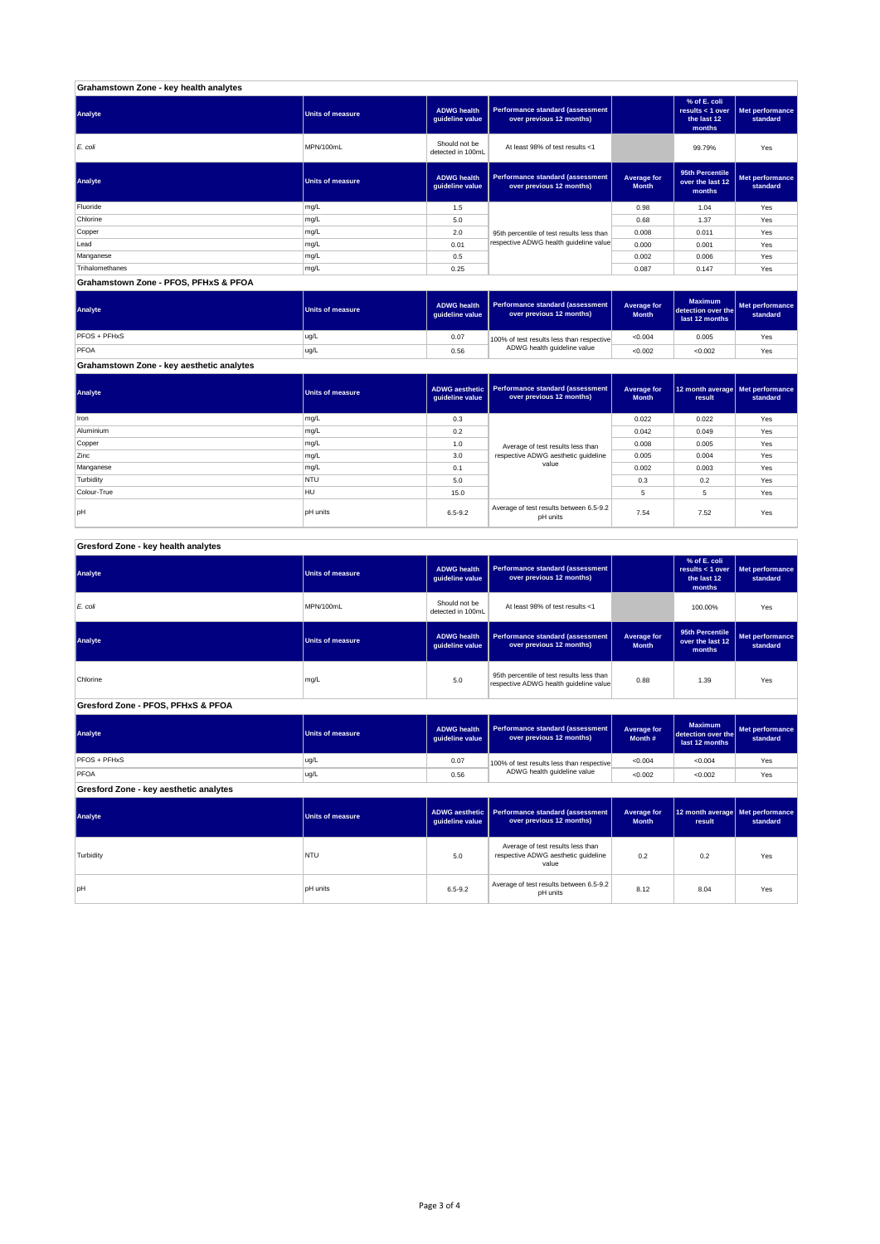| Grahamstown Zone - key health analytes |                         |                                       |                                                              |                             |                                                             |                             |
|----------------------------------------|-------------------------|---------------------------------------|--------------------------------------------------------------|-----------------------------|-------------------------------------------------------------|-----------------------------|
| Analyte                                | <b>Units of measure</b> | <b>ADWG health</b><br>guideline value | Performance standard (assessment<br>over previous 12 months) |                             | % of E. coli<br>results $<$ 1 over<br>the last 12<br>months | Met performance<br>standard |
| E. coli                                | MPN/100mL               | Should not be<br>detected in 100mL    | At least 98% of test results <1                              |                             | 99.79%                                                      | Yes                         |
| Analyte                                | <b>Units of measure</b> | <b>ADWG health</b><br>quideline value | Performance standard (assessment<br>over previous 12 months) | Average for<br><b>Month</b> | 95th Percentile<br>over the last 12<br>months               | Met performance<br>standard |
| Fluoride                               | mg/L                    | 1.5                                   |                                                              | 0.98                        | 1.04                                                        | Yes                         |
| Chlorine                               | mg/L                    | 5.0                                   |                                                              | 0.68                        | 1.37                                                        | Yes                         |
| Copper                                 | mg/L                    | 2.0                                   | 95th percentile of test results less than                    | 0.008                       | 0.011                                                       | Yes                         |
| Lead                                   | mg/L                    | 0.01                                  | respective ADWG health guideline value                       | 0.000                       | 0.001                                                       | Yes                         |
| Manganese                              | mg/L                    | 0.5                                   |                                                              | 0.002                       | 0.006                                                       | Yes                         |
| Trihalomethanes                        | mg/L                    | 0.25                                  |                                                              | 0.087                       | 0.147                                                       | Yes                         |
| Grahamstown Zone - PFOS, PFHxS & PFOA  |                         |                                       |                                                              |                             |                                                             |                             |

**ADWG health guideline value Average for Month Maximum detection over the last 12 months Met performance standard** 0.07 100% of test results less than respective  $\sim 0.004$  0.005  $\sim$  Yes 0.56 <0.002 <0.002 Yes PFOS + PFHxS ug/L<br>PFOA ug/L<br>PFOA ug/L PFOA ug/L 100% of test results less than respective ADWG health guideline value **Analyte Performance standard (assessment <b>Performance standard (assessment Performance standard (assessment Performance standard (assessment performance standard (assessment**)

**Grahamstown Zone - key aesthetic analytes**

| Analyte     | Units of measure | quideline value | ADWG aesthetic   Performance standard (assessment<br>over previous 12 months) | Average for<br><b>Month</b> | 12 month average   Met performance<br>result | standard |
|-------------|------------------|-----------------|-------------------------------------------------------------------------------|-----------------------------|----------------------------------------------|----------|
| Iron        | mg/L             | 0.3             |                                                                               | 0.022                       | 0.022                                        | Yes      |
| Aluminium   | mg/L             | 0.2             |                                                                               | 0.042                       | 0.049                                        | Yes      |
| Copper      | mg/L             | 1.0             | Average of test results less than                                             | 0.008                       | 0.005                                        | Yes      |
| Zinc        | mg/L             | 3.0             | respective ADWG aesthetic quideline                                           | 0.005                       | 0.004                                        | Yes      |
| Manganese   | mg/L             | 0.1             | value                                                                         | 0.002                       | 0.003                                        | Yes      |
| Turbidity   | <b>NTU</b>       | 5.0             |                                                                               | 0.3                         | 0.2                                          | Yes      |
| Colour-True | HU               | 15.0            |                                                                               | 5                           | 5                                            | Yes      |
| pH          | <b>pH</b> units  | $6.5 - 9.2$     | Average of test results between 6.5-9.2<br>pH units                           | 7.54                        | 7.52                                         | Yes      |

|  | Gresford Zone - key health analytes |
|--|-------------------------------------|
|  |                                     |

| Analyte                                | <b>Units of measure</b> | <b>ADWG</b> health<br>guideline value    | Performance standard (assessment<br>over previous 12 months)                                       |                                    | % of E. coli<br>results < $1$ over<br>the last 12<br>months | Met performance<br>standard |  |  |
|----------------------------------------|-------------------------|------------------------------------------|----------------------------------------------------------------------------------------------------|------------------------------------|-------------------------------------------------------------|-----------------------------|--|--|
| E. coli                                | MPN/100mL               | Should not be<br>detected in 100mL       | At least 98% of test results <1                                                                    |                                    | 100.00%                                                     | Yes                         |  |  |
| Analyte                                | <b>Units of measure</b> | <b>ADWG</b> health<br>guideline value    | Performance standard (assessment<br><b>Average for</b><br>over previous 12 months)<br><b>Month</b> |                                    | 95th Percentile<br>over the last 12<br>months               | Met performance<br>standard |  |  |
| Chlorine                               | mg/L                    | 5.0                                      | 95th percentile of test results less than<br>respective ADWG health guideline value                | 0.88                               | 1.39                                                        | Yes                         |  |  |
| Gresford Zone - PFOS, PFHxS & PFOA     |                         |                                          |                                                                                                    |                                    |                                                             |                             |  |  |
| Analyte                                | <b>Units of measure</b> | <b>ADWG</b> health<br>guideline value    | Performance standard (assessment<br>over previous 12 months)                                       | Average for<br>Month #             | <b>Maximum</b><br>detection over the<br>last 12 months      | Met performance<br>standard |  |  |
| PFOS + PFHxS                           | ug/L                    | 0.07                                     | 100% of test results less than respective                                                          | < 0.004                            | < 0.004                                                     | Yes                         |  |  |
| PFOA                                   | ug/L                    | 0.56                                     | ADWG health guideline value                                                                        | < 0.002                            | < 0.002                                                     | Yes                         |  |  |
| Gresford Zone - key aesthetic analytes |                         |                                          |                                                                                                    |                                    |                                                             |                             |  |  |
| Analyte                                | <b>Units of measure</b> | <b>ADWG aesthetic</b><br>guideline value | Performance standard (assessment<br>over previous 12 months)                                       | <b>Average for</b><br><b>Month</b> | 12 month average<br>result                                  | Met performance<br>standard |  |  |
| Turbidity                              | <b>NTU</b>              | 5.0                                      | Average of test results less than<br>respective ADWG aesthetic quideline<br>value                  | 0.2                                | 0.2                                                         | Yes                         |  |  |
| pH                                     | <b>pH</b> units         | $6.5 - 9.2$                              | Average of test results between 6.5-9.2<br>pH units                                                | 8.12                               | 8.04                                                        | Yes                         |  |  |